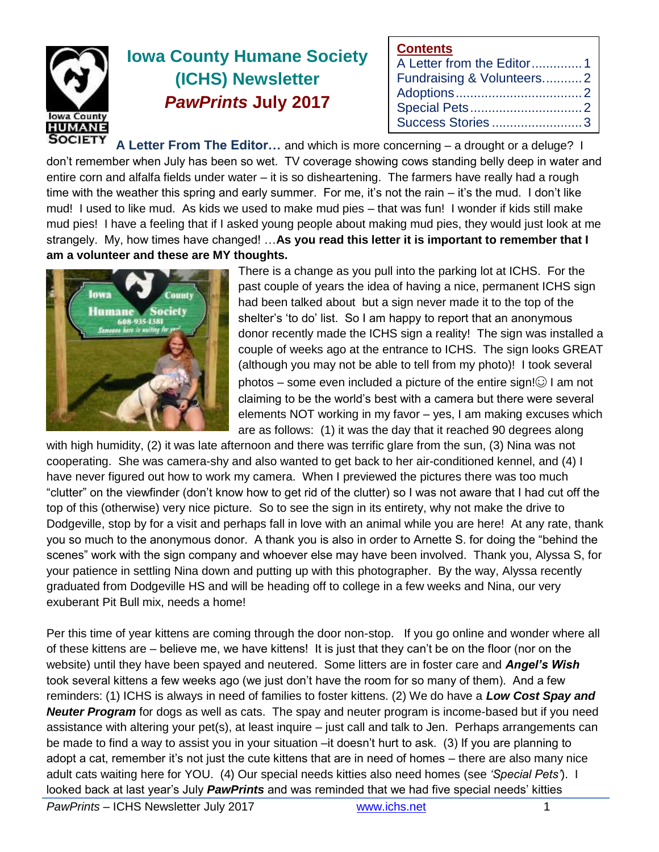

# **Iowa County Humane Society (ICHS) Newsletter** *PawPrints* **July 2017**

| <b>Contents</b>           |  |
|---------------------------|--|
| A Letter from the Editor1 |  |
| Fundraising & Volunteers2 |  |
|                           |  |
|                           |  |
| Success Stories3          |  |

**A Letter From The Editor…** and which is more concerning – a drought or a deluge? I don't remember when July has been so wet. TV coverage showing cows standing belly deep in water and entire corn and alfalfa fields under water – it is so disheartening. The farmers have really had a rough time with the weather this spring and early summer. For me, it's not the rain – it's the mud. I don't like mud! I used to like mud. As kids we used to make mud pies – that was fun! I wonder if kids still make mud pies! I have a feeling that if I asked young people about making mud pies, they would just look at me strangely. My, how times have changed! …**As you read this letter it is important to remember that I am a volunteer and these are MY thoughts.**



There is a change as you pull into the parking lot at ICHS. For the past couple of years the idea of having a nice, permanent ICHS sign had been talked about but a sign never made it to the top of the shelter's 'to do' list. So I am happy to report that an anonymous donor recently made the ICHS sign a reality! The sign was installed a couple of weeks ago at the entrance to ICHS. The sign looks GREAT (although you may not be able to tell from my photo)! I took several photos – some even included a picture of the entire sign! $\odot$  I am not claiming to be the world's best with a camera but there were several elements NOT working in my favor – yes, I am making excuses which are as follows: (1) it was the day that it reached 90 degrees along

with high humidity, (2) it was late afternoon and there was terrific glare from the sun, (3) Nina was not cooperating. She was camera-shy and also wanted to get back to her air-conditioned kennel, and (4) I have never figured out how to work my camera. When I previewed the pictures there was too much "clutter" on the viewfinder (don't know how to get rid of the clutter) so I was not aware that I had cut off the top of this (otherwise) very nice picture. So to see the sign in its entirety, why not make the drive to Dodgeville, stop by for a visit and perhaps fall in love with an animal while you are here! At any rate, thank you so much to the anonymous donor. A thank you is also in order to Arnette S. for doing the "behind the scenes" work with the sign company and whoever else may have been involved. Thank you, Alyssa S, for your patience in settling Nina down and putting up with this photographer. By the way, Alyssa recently graduated from Dodgeville HS and will be heading off to college in a few weeks and Nina, our very exuberant Pit Bull mix, needs a home!

Per this time of year kittens are coming through the door non-stop. If you go online and wonder where all of these kittens are – believe me, we have kittens! It is just that they can't be on the floor (nor on the website) until they have been spayed and neutered. Some litters are in foster care and *Angel's Wish* took several kittens a few weeks ago (we just don't have the room for so many of them). And a few reminders: (1) ICHS is always in need of families to foster kittens. (2) We do have a *Low Cost Spay and Neuter Program* for dogs as well as cats. The spay and neuter program is income-based but if you need assistance with altering your pet(s), at least inquire – just call and talk to Jen. Perhaps arrangements can be made to find a way to assist you in your situation –it doesn't hurt to ask. (3) If you are planning to adopt a cat, remember it's not just the cute kittens that are in need of homes – there are also many nice adult cats waiting here for YOU. (4) Our special needs kitties also need homes (see *'Special Pets'*). I looked back at last year's July *PawPrints* and was reminded that we had five special needs' kitties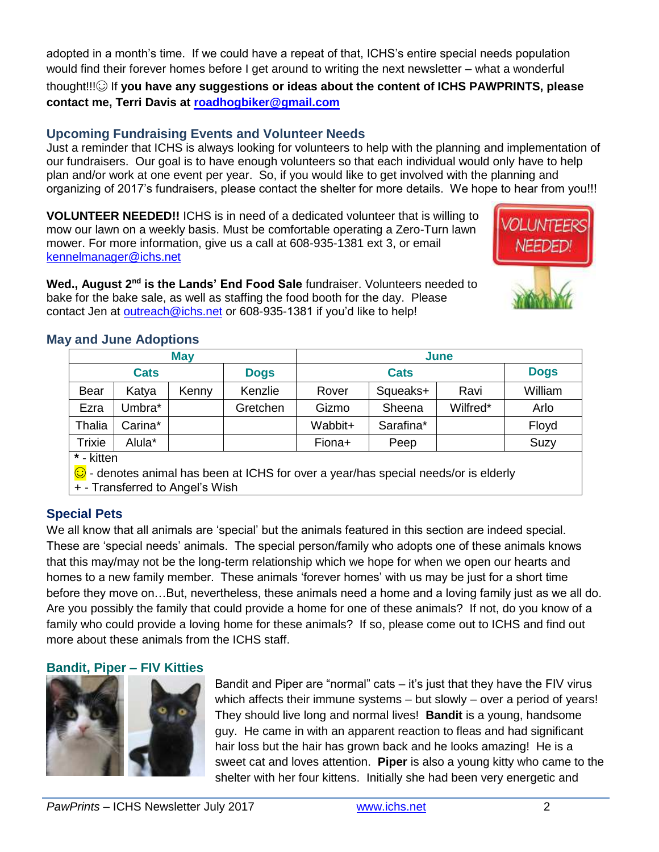adopted in a month's time. If we could have a repeat of that, ICHS's entire special needs population would find their forever homes before I get around to writing the next newsletter – what a wonderful thought!!!☺ If **you have any suggestions or ideas about the content of ICHS PAWPRINTS, please contact me, Terri Davis at [roadhogbiker@gmail.com](mailto:roadhogbiker@gmail.com)**

### **Upcoming Fundraising Events and Volunteer Needs**

Just a reminder that ICHS is always looking for volunteers to help with the planning and implementation of our fundraisers. Our goal is to have enough volunteers so that each individual would only have to help plan and/or work at one event per year. So, if you would like to get involved with the planning and organizing of 2017's fundraisers, please contact the shelter for more details. We hope to hear from you!!!

**VOLUNTEER NEEDED!!** ICHS is in need of a dedicated volunteer that is willing to mow our lawn on a weekly basis. Must be comfortable operating a Zero-Turn lawn mower. For more information, give us a call at 608-935-1381 ext 3, or email [kennelmanager@ichs.net](mailto:kennelmanager@ichs.net)

Wed., August 2<sup>nd</sup> is the Lands' End Food Sale fundraiser. Volunteers needed to bake for the bake sale, as well as staffing the food booth for the day. Please contact Jen at [outreach@ichs.net](mailto:outreach@ichs.net) or 608-935-1381 if you'd like to help!



# **May and June Adoptions**

| <b>May</b>                                                                                                                      |         |       |             | June        |           |          |             |  |  |
|---------------------------------------------------------------------------------------------------------------------------------|---------|-------|-------------|-------------|-----------|----------|-------------|--|--|
| <b>Cats</b>                                                                                                                     |         |       | <b>Dogs</b> | <b>Cats</b> |           |          | <b>Dogs</b> |  |  |
| Bear                                                                                                                            | Katya   | Kenny | Kenzlie     | Rover       | Squeaks+  | Ravi     | William     |  |  |
| Ezra                                                                                                                            | Umbra*  |       | Gretchen    | Gizmo       | Sheena    | Wilfred* | Arlo        |  |  |
| Thalia                                                                                                                          | Carina* |       |             | Wabbit+     | Sarafina* |          | Floyd       |  |  |
| <b>Trixie</b>                                                                                                                   | Alula*  |       |             | Fiona+      | Peep      |          | Suzy        |  |  |
| * - kitten                                                                                                                      |         |       |             |             |           |          |             |  |  |
| $\bigcirc$ - denotes animal has been at ICHS for over a year/has special needs/or is elderly<br>+ - Transferred to Angel's Wish |         |       |             |             |           |          |             |  |  |
|                                                                                                                                 |         |       |             |             |           |          |             |  |  |

# **Special Pets**

We all know that all animals are 'special' but the animals featured in this section are indeed special. These are 'special needs' animals. The special person/family who adopts one of these animals knows that this may/may not be the long-term relationship which we hope for when we open our hearts and homes to a new family member. These animals 'forever homes' with us may be just for a short time before they move on…But, nevertheless, these animals need a home and a loving family just as we all do. Are you possibly the family that could provide a home for one of these animals? If not, do you know of a family who could provide a loving home for these animals? If so, please come out to ICHS and find out more about these animals from the ICHS staff.

### **Bandit, Piper – FIV Kitties**



Bandit and Piper are "normal" cats – it's just that they have the FIV virus which affects their immune systems – but slowly – over a period of years! They should live long and normal lives! **Bandit** is a young, handsome guy. He came in with an apparent reaction to fleas and had significant hair loss but the hair has grown back and he looks amazing! He is a sweet cat and loves attention. **Piper** is also a young kitty who came to the shelter with her four kittens. Initially she had been very energetic and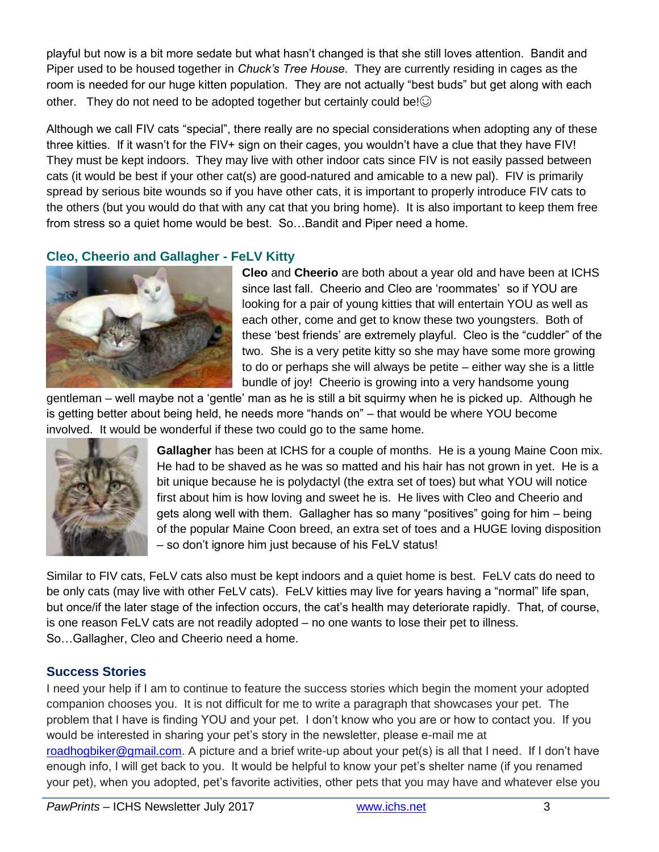playful but now is a bit more sedate but what hasn't changed is that she still loves attention. Bandit and Piper used to be housed together in *Chuck's Tree House*. They are currently residing in cages as the room is needed for our huge kitten population. They are not actually "best buds" but get along with each other. They do not need to be adopted together but certainly could be! $\odot$ 

Although we call FIV cats "special", there really are no special considerations when adopting any of these three kitties. If it wasn't for the FIV+ sign on their cages, you wouldn't have a clue that they have FIV! They must be kept indoors. They may live with other indoor cats since FIV is not easily passed between cats (it would be best if your other cat(s) are good-natured and amicable to a new pal). FIV is primarily spread by serious bite wounds so if you have other cats, it is important to properly introduce FIV cats to the others (but you would do that with any cat that you bring home). It is also important to keep them free from stress so a quiet home would be best. So…Bandit and Piper need a home.

# **Cleo, Cheerio and Gallagher - FeLV Kitty**



**Cleo** and **Cheerio** are both about a year old and have been at ICHS since last fall. Cheerio and Cleo are 'roommates' so if YOU are looking for a pair of young kitties that will entertain YOU as well as each other, come and get to know these two youngsters. Both of these 'best friends' are extremely playful. Cleo is the "cuddler" of the two. She is a very petite kitty so she may have some more growing to do or perhaps she will always be petite – either way she is a little bundle of joy! Cheerio is growing into a very handsome young

gentleman – well maybe not a 'gentle' man as he is still a bit squirmy when he is picked up. Although he is getting better about being held, he needs more "hands on" – that would be where YOU become involved. It would be wonderful if these two could go to the same home.



**Gallagher** has been at ICHS for a couple of months. He is a young Maine Coon mix. He had to be shaved as he was so matted and his hair has not grown in yet. He is a bit unique because he is polydactyl (the extra set of toes) but what YOU will notice first about him is how loving and sweet he is. He lives with Cleo and Cheerio and gets along well with them. Gallagher has so many "positives" going for him – being of the popular Maine Coon breed, an extra set of toes and a HUGE loving disposition – so don't ignore him just because of his FeLV status!

Similar to FIV cats, FeLV cats also must be kept indoors and a quiet home is best. FeLV cats do need to be only cats (may live with other FeLV cats). FeLV kitties may live for years having a "normal" life span, but once/if the later stage of the infection occurs, the cat's health may deteriorate rapidly. That, of course, is one reason FeLV cats are not readily adopted – no one wants to lose their pet to illness. So…Gallagher, Cleo and Cheerio need a home.

### **Success Stories**

I need your help if I am to continue to feature the success stories which begin the moment your adopted companion chooses you. It is not difficult for me to write a paragraph that showcases your pet. The problem that I have is finding YOU and your pet. I don't know who you are or how to contact you. If you would be interested in sharing your pet's story in the newsletter, please e-mail me at [roadhogbiker@gmail.com.](mailto:roadhogbiker@gmail.com) A picture and a brief write-up about your pet(s) is all that I need. If I don't have enough info, I will get back to you. It would be helpful to know your pet's shelter name (if you renamed your pet), when you adopted, pet's favorite activities, other pets that you may have and whatever else you